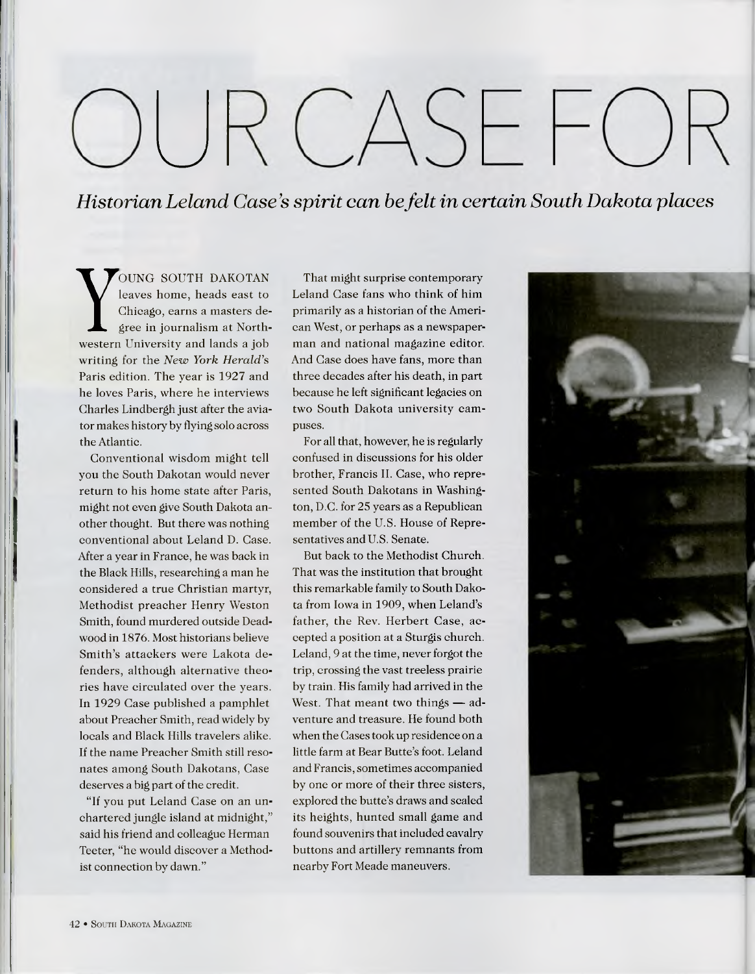## $H(K \cap \mathbb{R})$

Historian Leland Case's spirit can be felt in certain South Dakota places

OUNG SOUTH DAKOTAN leaves home, heads east to Chicago, earns a masters de-C icago, earns a masters de gree in journalism at North-gree in journalism at Nort WOUNG SOUTH DAROTAN<br>
leaves home, heads east to<br>
chicago, earns a masters de-<br>
gree in journalism at North-<br>
western University and lands a job writing for the *New York Herald's*  writing for t e *New Yo k He ald's* Paris edition. The year is 1927 and he loves Paris, where he interviews Charles Lindbergh just after the aviator makes history by flying solo across  $\sum_{\alpha}^{\text{out}}$ the Atlantic.

Conventional wisdom might tell you the South Dakotan would never return to his home state after Paris, might not even give South Dakota an- conventional about Leland D. Case. conventional about Leland D. Case. After a year in France, he was back in the Black Hills, researching a man he the Black Hills, researching a man he<br>considered a true Christian martyr, Methodist preacher Henry Weston wood in 1876. Most historians believe wood in 1876. Most istorians believe Smith's attackers were Lakota defenders, although alternative theories have circulated over the years. In 1929 Case published a pamphlet about Preacher Smith, read widely by locals and Black Hills travelers alike. locals and Black Hills travelers alike. If the name Preacher Smith still resonates among South Dakotans, Case deserves a big part of the credit. other thought. But there was nothing  $\,$ Smith, found murdered outside Dead-

 "If you put Leland Case on an un-"If you put Leland Case on an un chartered jungle island at midnight," said his friend and colleague Herman ist connection by dawn." ist connection by dawn." Teeter, "he would discover a Method-

Leland Case fans who think of him - primarily as a historian of the Ameri-- can West, or perhaps as a newspaper- man and national magazine editor. man and national magazine editor. And Case does have fans, more than three decades after his death, in part because he left significant legacies on because e left significant legacies on - two South Dakota university cam-That might surprise contemporary puses. puses.

> For all that, however, he is regularly  $\,$  confused in disc ussions for his older confused in discussions for is older brother, Francis II. Case, who represented South Dakotans in Washing- ton, D.C. for 25 years as a Republican ton, D.C. for 25 years as a Republican member of the U.S. House of Repre-sentatives and U.S. Senate. sentatives and U.S. Senate.

But back to the Methodist Church. this remarkable family to South Dakota from Iowa in 1909, when Leland's - father, the Rev. Herbert Case, accepted a position at a Sturgis church. Leland, 9 at the time, never forgot the by train. His family had arrived in the West. That meant two things — ad- venture and treasure. He found both venture and treasure. He found bot when the Cases took up residence on a little farm at Bear Butte's foot. Leland little farm at Bear Butte's foot. Leland by one or more of their three sisters, explored the butte's draws and scaled its heights, hunted small game and found souvenirs that included cavalry found souvenirs t at included cavalry buttons and artillery remnants from buttons and artillery remnants from That was the institution that brought trip, crossing the vast treeless prairie and Francis, sometimes accompanied and Francis, sometimes accompanied nearby Fort Meade maneuvers. nearby Fort Meade maneuvers.

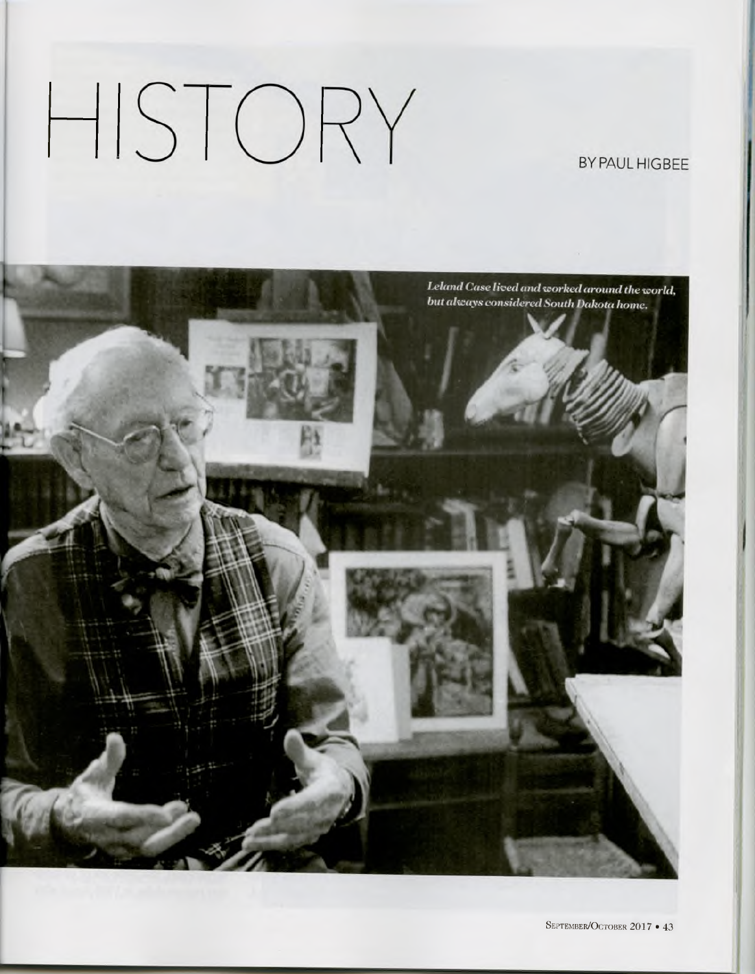# HISTORY

#### **PAUL HIGBEE BY**

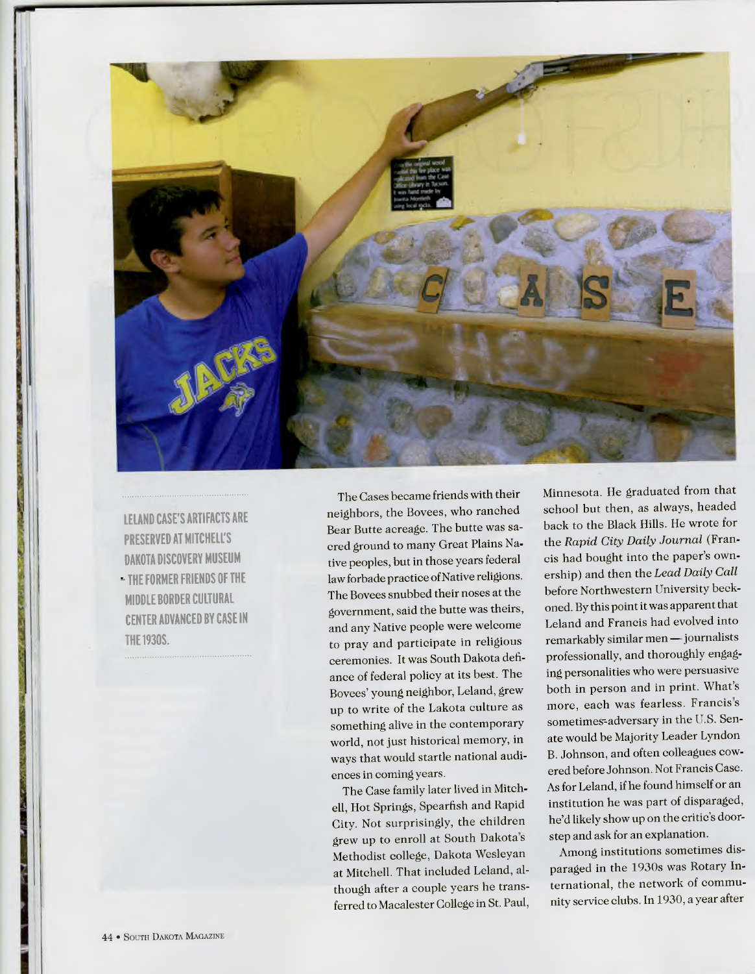

 **PRESERVED AT MITCHELfS PRESERVE AT MITCHELL'S CASE'S ARTIFACTS ARE LELAN CASE'S ARTIFACTS ARE LELAND DAKOTA DISCOVERY MUSEUM AKOTA ISCOVERY MUSEUM** - **THE FORMER FRIENDS OF THE THE FORMER FRIEN S OF THE - MIDDLE BORDER CULTURAL MI LE BOR ER CULTURAL CENTER ADVANCED BY CASE IN CENTER A VANCE BY CASE IN THE193OS. THE1930S.**

The Cases became friends with their neighbors, the Bovees, who ranched cred ground to many Great Plains Na-cred ground to many Great Plains Na tive peoples, but in those years federal law forbade practice of Native religions. law forbade practice of Native religions. The Bovees snubbed their noses at the government, said the butte was theirs, to pray and participate in religious to pray and participate in religious ceremonies. It was South Dakota defiance of federal policy at its best. The up to write of the Lakota culture as up to write of t e Lakota culture as something alive in the contemporary world, not just historical memory, in world, not just istorical memory, in ences in coming years. ences in coming years. Bear Butte acreage. The butte was saand any Native people were welcome and any Native people were welcome Bovees' young neighbor, Leland, grew ways that would startle national audi-

The Case family later lived in Mitchell, Hot Springs, Spearfish and Rapid City. Not surprisingly, the children grew up to enroll at South Dakota's Methodist college, Dakota Wesleyan at Mitchell. That included Leland, although after a couple years he trans-ferred to Macalester College in St. Paul, ferred to Macalester College in St. Paul,

Minnesota. He graduated from that school but then, as always, headed back to the Black Hills. He wrote for - the *Rapid City Daily Journal (*Francis had bought into the paper's ownership) and then the *Lead Daily Call* oned. By this point it was apparent that Leland and Francis had evolved into - professionally, and thoroughly engaging personalities who were persuasive both in person and in print. What's more, each was fearless. Francis's ate would be Majority Leader Lyndon ate would be Majority Leader Lyndon - B. Johnson, and often colleagues cowered before Johnson. Not Francis Case. As for Leland, if he found himself or an institution he was part of disparaged, he'd likely show up on the critic's door- step and ask for an explanation. step and ask for an explanation. before Northwestern University beck-before Nort western University beck remarkably similar men — journalists sometimes-adversary in the U.S. Sen-

paraged in the 1930s was Rotary International, the network of commu- nity service clubs. In 1930, a year after nity service clubs. In 1930, a year after Among institutions sometimes dis-Among institutions sometimes dis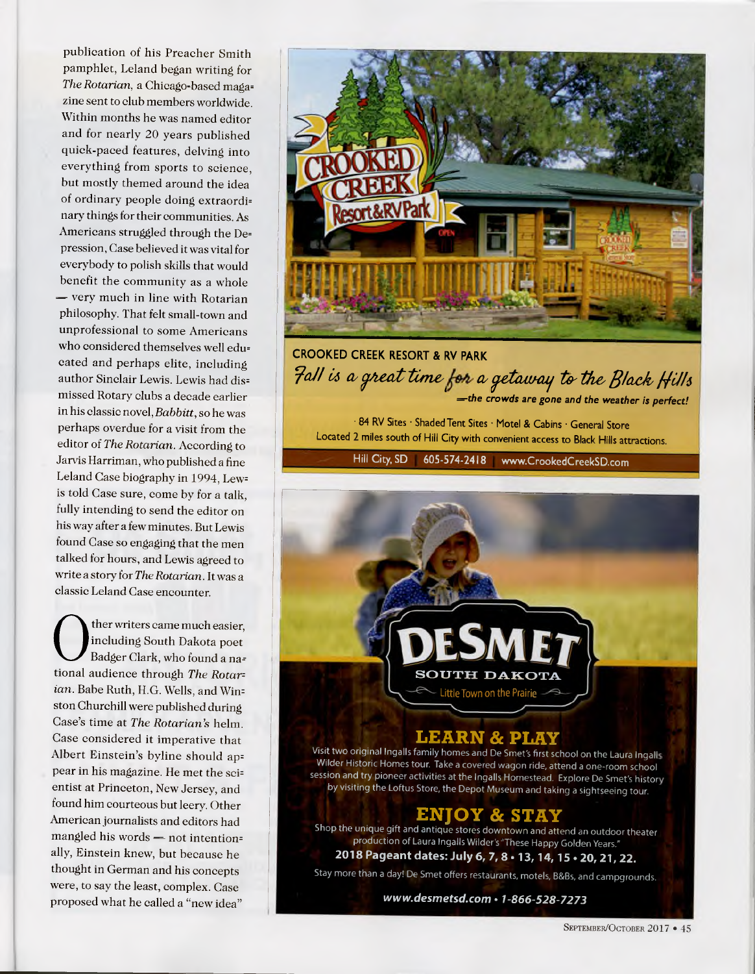publication of his Preacher Smith pamphlet, Leland began writing for pamp let, Leland began writing for zine sent to club members worldwide. zine sent to club members worldwide. Within months he was named editor and for nearly 20 years published quick-paced features, delving into quick paced features, delving into - everything from sports to science, everyt ing from sports to science, but mostly themed around the idea of ordinary people doing extraordi-of ordinary people doing extraordi nary things for their communities. As Americans struggled through the De- pression, Case believed it was vital for pression, Case believed it was vital for everybody to polish skills that would benefit the community as a whole — very much in line with Rotarian philosophy. That felt small-town and unprofessional to some Americans unprofessional to some Americans cated and perhaps elite, including cated and per aps elite, including author Sinclair Lewis. Lewis had dis- missed Rotary clubs a decade earlier missed Rotary clubs a decade earlier in his classic novel, *Babbitt*, so he was perhaps overdue for a visit from the editor of *The Rotarian.* According to editor of *The Rota ian.* According to Jarvis Harriman, who published a fine Leland Case biography in 1994, Lew- is told Case sure, come by for a talk, is told Case sure, come by for a talk, fully intending to send the editor on his way after a few minutes. But Lewis write a story for *The Rotarian.* It was a write a story for*The Rota ian.* Itwas a classic Leland Case encounter. classic Leland Case encounter. *The Rotarian,* a Chicago-based maga-*The Rota ian,* a C icago based maga who considered themselves well edufound Case so engaging that the men talked for hours, and Lewis agreed to

ther writers came much easier,<br>including South Dakota poet<br>Badger Clark, who found a naincluding South Dakota poet ther writers came much easier,<br>
Badger Clark, who found a na-<br>
tional audience through *The Rotarian.* Babe Ruth, H.G. Wells, and Winston Churchill were published during Case's time at *The Rotarian's* helm. Albert Einstein's byline should ap- entist at Princeton, New Jersey, and entist at Princeton, New Jersey, and found him courteous but leery. Other mangled his words — not intentionally, Einstein knew, but because he Badger Clark, who found a na-Case considered it imperative that pear in his magazine. He met the sci-American journalists and editors had thought in German and his concepts were, to say the least, complex. Case proposed what he called a "new idea"



 **CROOKED CREEK RESORT** & **RV PARK CROOKED CREEK RESORT** *&* **RV PARK** *tall* u *a,~~~a,~ "urthe-8!11UY/fill6 -the crowds* **are** *gone and the weather is perfect! 'Ja JI U a CjAM ttinies^ & cjttcuiM ij t& tho \$ IclcJ { fillt the c owds a e gone and the weathe is pe fect! —* 

· 84 RV Sites · Shaded Tent Sites · Motel & Cabins · General Store Located 2 miles south of Hill City with convenient access to Black Hills attractions. Located 2 miles south of Hill City with convenient access to Black Hills attractions.

**Hill City, SD** Hill City, SD | 605-574-2418 | www.CrookedCreekSD.com

#### **LE A R N PLAY**

SOUTH DAKOTA Little Town on the Prairie

Entertainment and the United States of the United States of the United States and Learning and U.S. attend a one-room school<br>In the Wilder Historic Homes tour. Take a covered wagon ride, attend a one-room school<br>In the ses session and try pioneer activities at the Ingalls Homestead. Explore De met's histor by visiting the Loftus Store, the Depot Museum and taking a sightseeing tour. Visit two original Ingalls family homes and De met's first school on the Laura Ingall

#### **E N JO Y STAY**

— not intention-<br>— production of Laura Ingalls Wilder's "These Happy Golden Years." Shop the unique gift and antique stores downtown and attend an outdoor theater

 **2018 P ge nt d tes: July 6, 7,8 •13,14,15\*20,21,22.**

Stay more than a day! De Smet offers restaurants, motels, B&Bs, and campgrounds.

 *[www.des etsd.co](http://www.desmetsd.com)* **• 7** *866 528 7273 - - -*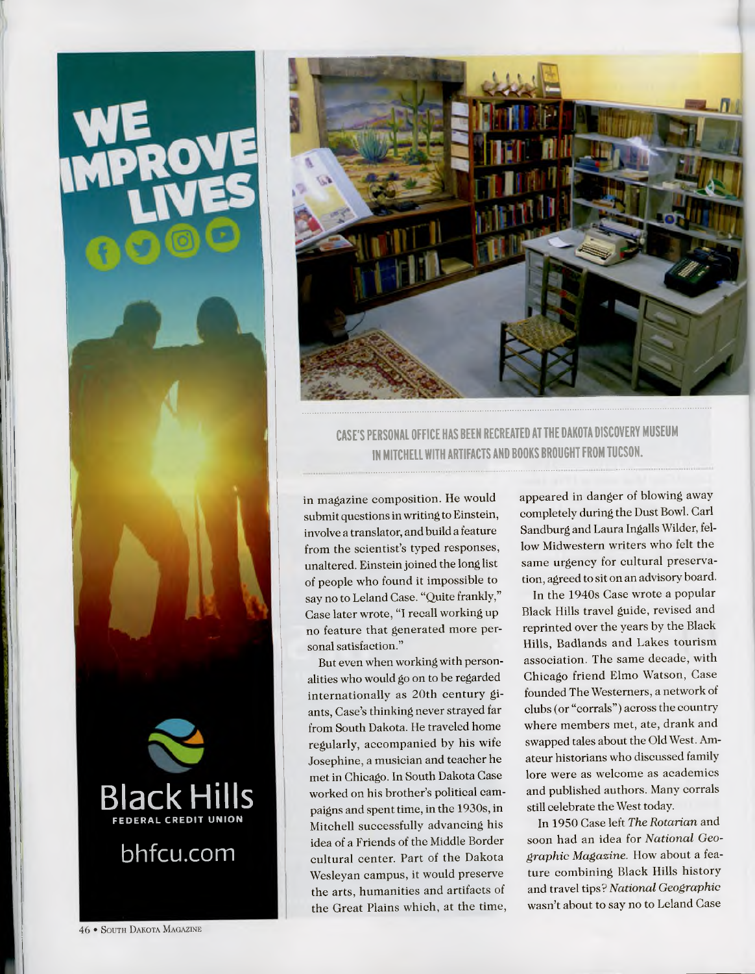



CASE'S PERSONAL OFFICE HAS BEEN RECREATED AT THE DAKOTA DISCOVERY MUSEUM  **IN MITCHELL WITH ARTIFACTS AND BOOKS BROUGHT FROM TUCSON. IN MITCHELL WITH ARTIFACTS AN BOOKS BROUGHT FROM TUCSON.**

 in magazine composition. He would in magazine composition. He would submit questions in writing to Einstein, submit questions in writing to Einstein, involve a translator, and build a feature involve a translator, and build a feature from the scientist's typed responses, unaltered. Einstein joined the long list of people who found it impossible to say no to Leland Case. "Quite frankly," say no to Leland Case. "Quite frankly," Case later wrote, "I recall working up Case later wrote, "I recall working up no feature that generated more per-no feature t at generated more per sonal satisfaction." sonal satisfaction."

But even when working with personalities who would go on to be regarded internationally as 20th century giants, Case's thinking never strayed far from South Dakota. He traveled home regularly, accompanied by his wife Josephine, a musician and teacher he met in Chicago. In South Dakota Case Mitchell successfully advancing his idea of a Friends of the Middle Border cultural center. Part of the Dakota Wesleyan campus, it would preserve Wesleyan campus, it would preserve the arts, humanities and artifacts of the Great Plains which, at the time, worked on his brother's political campaigns and spent time, in the 1930s, in

 appeared in danger of blowing away appeared in danger of blowing away low Midwestern writers who felt the same urgency for cultural preserva-same urgency for cultural preserva tion, agreed to sit on an advisory board. tion, agreed to sit on an advisory board. completely during the Dust Bowl. Carl Sandburg and Laura Ingalls Wilder, fel-Sandburg and Laura Ingalls Wilder, fel

In the 1940s Case wrote a popular Black Hills travel guide, revised and Black Hills travel guide, revised and Hills, Badlands and Lakes tourism Hills, Badlands and Lakes tourism association. The same decade, with Chicago friend Elmo Watson, Case founded The Westerners, a network of clubs (or "corrals") across the country where members met, ate, drank and swapped tales about the Old West. Amateur historians who discussed family lore were as welcome as academics lore were as welcome as academics and published authors. Many corrals still celebrate the West today. reprinted over the years by the Black

 In 1950 Case left *The Rotarian* and In 1950 Case left *The Rota ian* and soon had an idea for *National* Geo-soon ad an idea for *National Geo graphic Magazine.* How about a fea-*g aphic Magazine.* How about a fea ture combining Black Hills history wasn't about to say no to Leland Case wasn't about to say no to Leland Case and travel tips ? *National Geographic*  and travel tips? *National Geog aphic*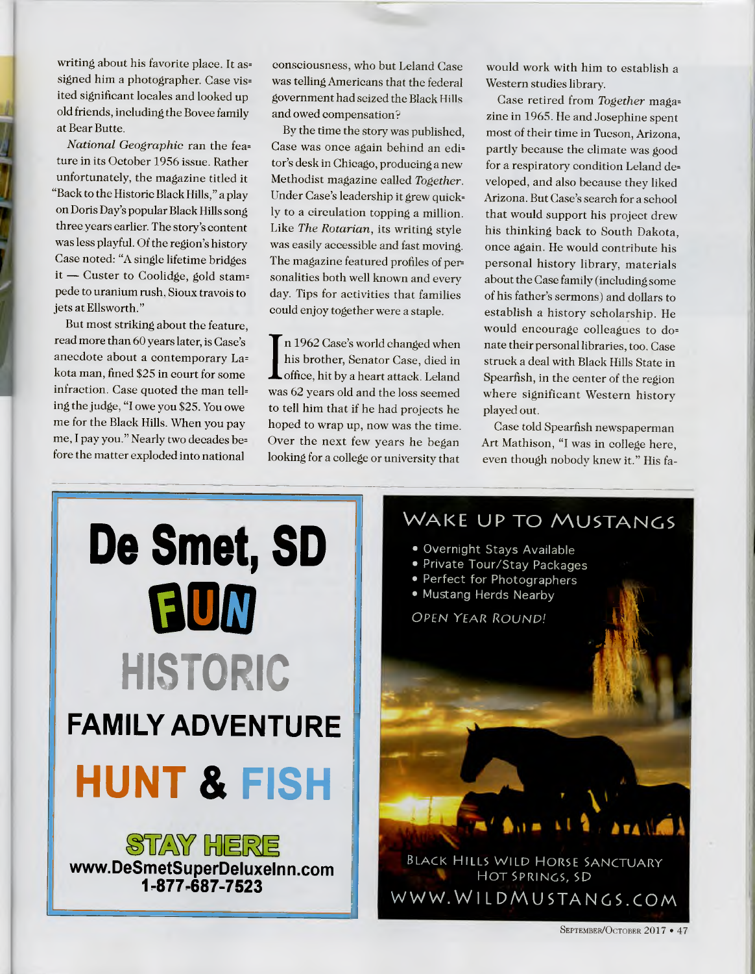writing about his favorite place. It assigned him a photographer. Case visold friends, including the Bovee family ited significant locales and looked up ited significant locales and looked up at Bear Butte. at Bear Butte.

*National Geographic ran the fea*unfortunately, the magazine titled it "Back to the Historic Black Hills," a play on Doris Day's popular Black Hills song on Doris Day's popular Black Hills song three years earlier. The story's content was less playful. Of the region's history Case noted: "A single lifetime bridges Case noted: "A single lifetime bridges it — Custer to Coolidge, gold stampede to uranium rush, Sioux travois to jets at Ellsworth." ture in its October 1956 issue. Rather

 read more than 60 years later, is Case's read more t an 60 years later, is Case's anecdote about a contemporary La-anecdote about a contemporary La kota man, fined \$25 in court for some kota man, fined \$25 in court for some infraction. Case quoted the man telling the judge, "I owe you \$25. You owe me, I pay you." Nearly two decades be-me, I pay you." Nearly two decades be fore the matter exploded into national But most striking about the feature, me for the Black Hills. When you pay

consciousness, who but Leland Case government had seized the Black Hills and owed compensation? and owed compensation? was telling Americans that the federal

By the time the story was published, - Case was once again behind an editor's desk in Chicago, producing a new Methodist magazine called *Together*. Under Case's leadership it grew quick-Under Case's leaders ip it grew quick ly to a circulation topping a million. ly to a circulation topping a million. Like *The Rotarian,* its writing style Like *The Rota ian,* its writing style was easily accessible and fast moving. was easily accessible and fast moving. The magazine featured profiles of personalities both well known and every day. Tips for activities that families could enjoy together were a staple. could enjoy toget er were a staple.

In 1962 Case's world changed when<br>his brother, Senator Case, died in<br>office, hit by a heart attack. Leland his brother, Senator Case, died in office, hit by a heart attack. Leland Inis brother, Senator Case, died in<br>office, hit by a heart attack. Leland<br>was 62 years old and the loss seemed to tell him that if he had projects he hoped to wrap up, now was the time. Over the next few years he began looking for a college or university that

would work with him to establish a Western studies library. Western studies library.

 Case retired from *Together* maga-Case retired from *Togethe* maga zine in 1965. He and Josephine spent zine in 1965. He and Josep ine spent most of their time in Tucson, Arizona, partly because the climate was good veloped, and also because they liked Arizona. But Case's search for a school that would support his project drew his thinking back to South Dakota, personal history library, materials about the Case family (including some of his father's sermons) and dollars to establish a history scholarship. He would encourage colleagues to do-would encourage colleagues to do nate their personal libraries, too. Case nate their personal libraries, too. Case<br>struck a deal with Black Hills State in Spearfish, in the center of the region where significant Western history for a respiratory condition Leland de-for a respiratory condition Leland de once again. He would contribute his played out. played out.

Art Mathison, "I was in college here, even though nobody knew it." His fa-Case told Spearfish newspaperman



### WAKE UP TO MUSTANG!  $\bullet$  Overnight Stays Available • Private Tour/Stay Packages • Perfect for Photographers  $\bullet$  Mustang Herds Nearby n 1999  $\bullet$ *OPEN YEAR ROUND! MMr*  $0.14 - 112$ Black Hills Wild Horse Sanctuary HOT SPRINGS, SD WWW.WILDMUSTANGS.COM

September/October 2017 • 47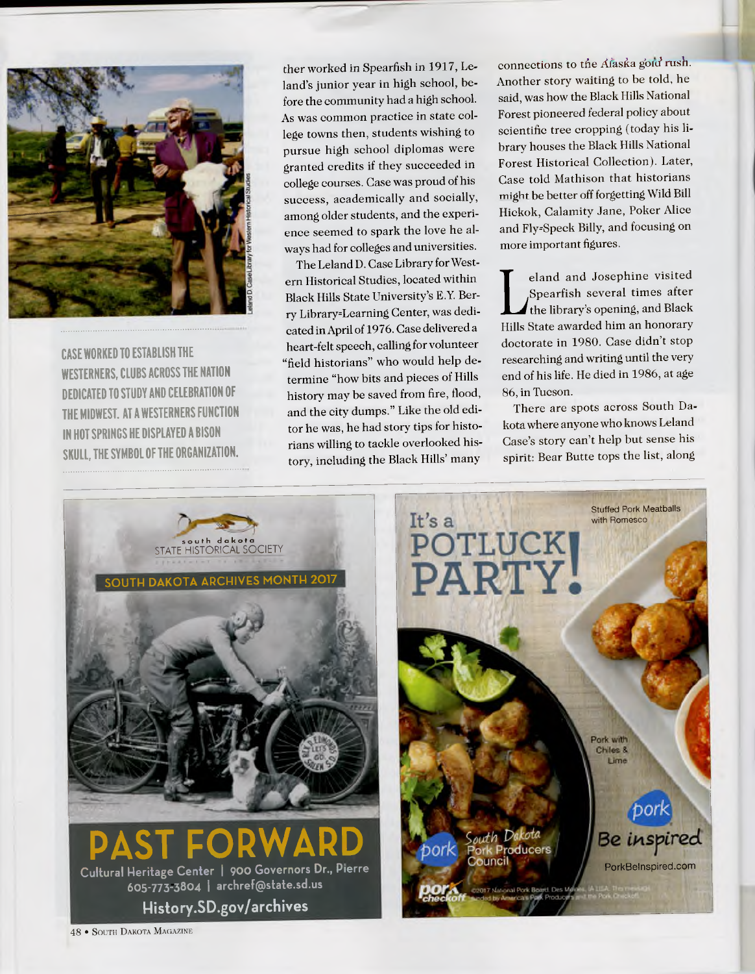

 **WORKED TO ESTABLISH THE CASE WORKE TO ESTABLISH THE CASE THE MIDWEST. AT A WESTERNERS FUNCTION THE MI WEST. AT A WESTERNERS FUNCTION IN HOT SPRINGS HE DISPLAYED A BISON IN HOT SPRINGS HE ISPLAYE A BISON SKULL, THE SYMBOL OF THE ORGANIZATION. SKULL, THE SYMBOL OF THE ORGANIZATION. WESTERNERS, CLUBS ACROSS THE NATION WESTERNERS, CLUBS ACROSS THE NATION DEDICATED TO STUDY AND CELEBRATION OF E ICATE TO STU Y AN CELEBRATION OF**

ther worked in Spearfish in 1917, Leland's junior year in high school, before the community had a high school. As was common practice in state col-As was common practice in state col lege towns then, students wishing to pursue high school diplomas were granted credits if they succeeded in college courses. Case was proud of his college courses. Case was proud of is success, academically and socially, success, academically and socially, among older students, and the experience seemed to spark the love he always had for colleges and universities.

The Leland D. Case Library for Western Historical Studies, located within Black Hills State University's E.Y. Ber-Black Hills State University's E.Y. Bercated in April of 1976. Case delivered a heart-felt speech, calling for volunteer "field historians" who would help de= termine "how bits and pieces of Hills history may be saved from fire, flood, tor he was, he had story tips for historians willing to tackle overlooked hisry Library-Learning Center, was dediand the city dumps." Like the old editory, including the Black Hills' many

connections to the Alaska gold rush. Another story waiting to be told, he said, was how the Black Hills National Forest pioneered federal policy about Forest pioneered federal policy about scientific tree cropping (today his library houses the Black Hills National Case told Mathison that historians might be better off forgetting Wild Bill Hickok, Calamity Jane, Poker Alice Hickok, Calamity Jane, Poker Alice and Fly-Speck Billy, and focusing on Forest Historical Collection). Later, Forest Historical Collection). Later, more important figures. more important figures.

 eland and Josephine visited eland and Josep ine visited Spearfish several times after the library's opening, and Black eland and Josephine visited<br>Spearfish several times after<br>Hills State awarded him an honorary doctorate in 1980. Case didn't stop doctorate in 1980. Case didn't stop researching and writing until the very end of his life. He died in 1986, at age  $\prod_{i=1}^d$ 86, in Tucson. 86, in Tucson.

- There are spots across South Dakota where anyone who knows Leland Case's story can't help but sense his spirit: Bear Butte tops the list, along





48 • South Dakota Magazine